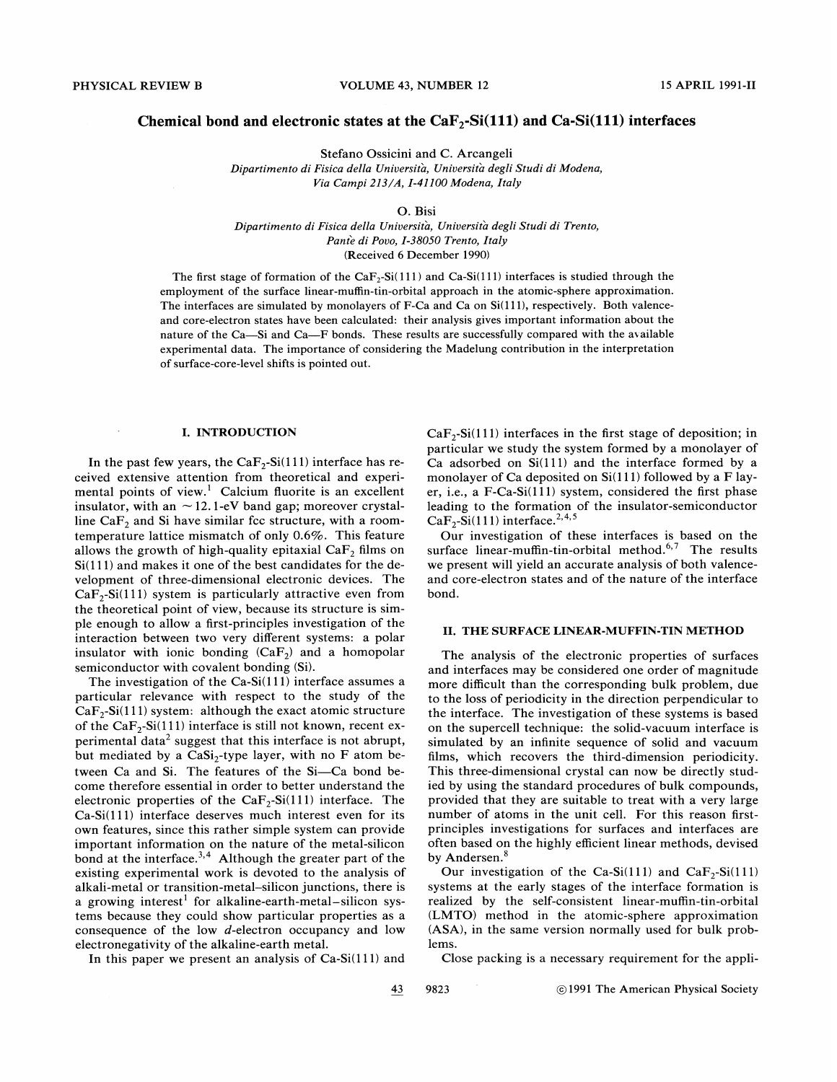# Chemical bond and electronic states at the  $CaF<sub>2</sub>-Si(111)$  and  $Ca-Si(111)$  interfaces

Stefano Ossicini and C. Arcangeli

Dipartimento di Fisica della Universita, Universita degli Studi di Modena, Via Campi 213/A, I-41100Modena, Italy

O. Bisi

Dipartimento di Fisica della Universita, Universita degli Studi di Trento, Pante di Povo, I-38050 Trento, Italy (Received 6 December 1990)

The first stage of formation of the  $CaF<sub>2</sub>-Si(111)$  and  $Ca-Si(111)$  interfaces is studied through the employment of the surface linear-muffin-tin-orbital approach in the atomic-sphere approximation. The interfaces are simulated by monolayers of F-Ca and Ca on  $Si(111)$ , respectively. Both valenceand core-electron states have been calculated: their analysis gives important information about the nature of the Ca—Si and Ca—<sup>F</sup> bonds. These results are successfully compared with the available experimental data. The importance of considering the Madelung contribution in the interpretation of surface-core-level shifts is pointed out.

#### I. INTRODUCTION

In the past few years, the  $CaF<sub>2</sub>-Si(111)$  interface has received extensive attention from theoretical and experimental points of view.<sup>1</sup> Calcium fluorite is an excellent insulator, with an  $\sim$  12.1-eV band gap; moreover crystalline Ca $F_2$  and Si have similar fcc structure, with a roomtemperature lattice mismatch of only 0.6%. This feature allows the growth of high-quality epitaxial  $CaF<sub>2</sub>$  films on  $Si(111)$  and makes it one of the best candidates for the development of three-dimensional electronic devices. The  $CaF<sub>2</sub>-Si(111)$  system is particularly attractive even from the theoretical point of view, because its structure is simple enough to allow a first-principles investigation of the interaction between two very different systems: a polar insulator with ionic bonding  $(CaF_2)$  and a homopolar semiconductor with covalent bonding (Si).

The investigation of the Ca-Si(111) interface assumes a particular relevance with respect to the study of the  $CaF<sub>2</sub>-Si(111)$  system: although the exact atomic structure of the  $CaF<sub>2</sub>-Si(111)$  interface is still not known, recent experimental data<sup>2</sup> suggest that this interface is not abrupt, but mediated by a  $CaSi<sub>2</sub>$ -type layer, with no F atom between Ca and Si. The features of the Si—Ca bond become therefore essential in order to better understand the electronic properties of the  $CaF<sub>2</sub>-Si(111)$  interface. The Ca-Si(111) interface deserves much interest even for its own features, since this rather simple system can provide important information on the nature of the metal-silicon bond at the interface.<sup>3,4</sup> Although the greater part of the existing experimental work is devoted to the analysis of alkali-metal or transition-metal-silicon junctions, there is a growing interest<sup>1</sup> for alkaline-earth-metal-silicon systems because they could show particular properties as a consequence of the low d-electron occupancy and low electronegativity of the alkaline-earth metal.

In this paper we present an analysis of Ca-Si(111) and

 $CaF<sub>2</sub>-Si(111)$  interfaces in the first stage of deposition; in particular we study the system formed by a monolayer of Ca adsorbed on  $Si(111)$  and the interface formed by a monolayer of Ca deposited on  $Si(111)$  followed by a F layer, i.e., a F-Ca-Si(111) system, considered the first phase leading to the formation of the insulator-semiconductor  $CaF_2-Si(111)$  interface.<sup>2,4,5</sup>

Our investigation of these interfaces is based on the surface linear-muffin-tin-orbital method. $6,7$  The results we present will yield an accurate analysis of both valenceand core-electron states and of the nature of the interface bond.

## II. THE SURFACE LINEAR-MUFFIN-TIN METHOD

The analysis of the electronic properties of surfaces and interfaces may be considered one order of magnitude more difficult than the corresponding bulk problem, due to the loss of periodicity in the direction perpendicular to the interface. The investigation of these systems is based on the supercell technique: the solid-vacuum interface is simulated by an infinite sequence of solid and vacuum films, which recovers the third-dimension periodicity. This three-dimensional crystal can now be directly studied by using the standard procedures of bulk compounds, provided that they are suitable to treat with a very large number of atoms in the unit cell. For this reason firstprinciples investigations for surfaces and interfaces are often based on the highly efficient linear methods, devised by Andersen.<sup>8</sup>

Our investigation of the Ca-Si(111) and CaF<sub>2</sub>-Si(111) systems at the early stages of the interface formation is realized by the self-consistent linear-muffin-tin-orbital (LMTO) method in the atomic-sphere approximation (ASA), in the same version normally used for bulk problems.

Close packing is a necessary requirement for the appli-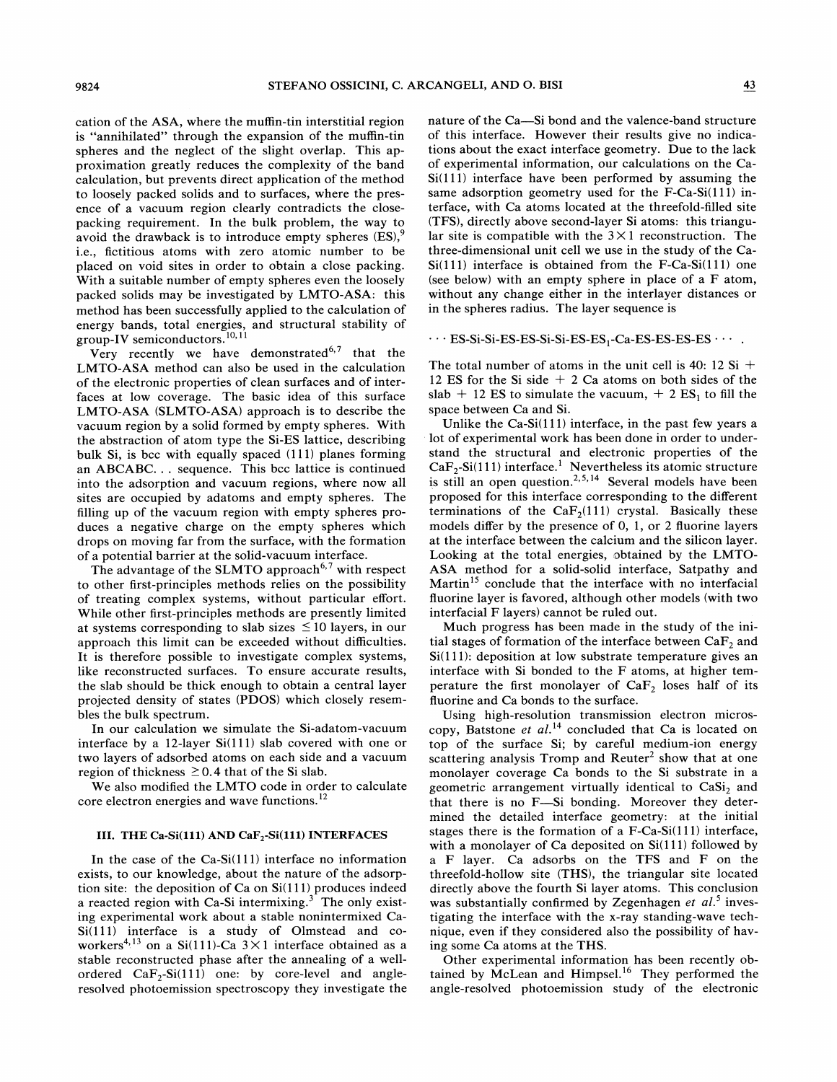cation of the ASA, where the muffin-tin interstitial region is "annihilated" through the expansion of the muffin-tin spheres and the neglect of the slight overlap. This approximation greatly reduces the complexity of the band calculation, but prevents direct application of the method to loosely packed solids and to surfaces, where the presence of a vacuum region clearly contradicts the closepacking requirement. In the bulk problem, the way to avoid the drawback is to introduce empty spheres  $(ES)$ ,<sup>9</sup> i.e., fictitious atoms with zero atomic number to be placed on void sites in order to obtain a close packing. With a suitable number of empty spheres even the loosely packed solids may be investigated by LMTO-ASA: this method has been successfully applied to the calculation of energy bands, total energies, and structural stability of group-IV semiconductors.<sup>10,11</sup>

Very recently we have demonstrated<sup>6,7</sup> that the LMTO-ASA method can also be used in the calculation of the electronic properties of clean surfaces and of interfaces at low coverage. The basic idea of this surface LMTO-ASA (SLMTO-ASA) approach is to describe the vacuum region by a solid formed by empty spheres. With the abstraction of atom type the Si-ES lattice, describing bulk Si, is bcc with equally spaced (111) planes forming an ABCABC. . . sequence. This bcc lattice is continued into the adsorption and vacuum regions, where now all sites are occupied by adatoms and empty spheres. The filling up of the vacuum region with empty spheres produces a negative charge on the empty spheres which drops on moving far from the surface, with the formation of a potential barrier at the solid-vacuum interface.

The advantage of the SLMTO approach<sup>6,7</sup> with respect to other first-principles methods relies on the possibility of treating complex systems, without particular effort. While other first-principles methods are presently limited at systems corresponding to slab sizes  $\leq 10$  layers, in our approach this limit can be exceeded without difficulties. It is therefore possible to investigate complex systems, like reconstructed surfaces. To ensure accurate results, the slab should be thick enough to obtain a central layer projected density of states (PDOS) which closely resembles the bulk spectrum.

In our calculation we simulate the Si-adatom-vacuum interface by a 12-layer Si(111) slab covered with one or two layers of adsorbed atoms on each side and a vacuum region of thickness  $\geq 0.4$  that of the Si slab.

We also modified the LMTO code in order to calculate core electron energies and wave functions.<sup>12</sup>

# III. THE Ca-Si(111) AND Ca $F_2$ -Si(111) INTERFACES

In the case of the Ca-Si(111) interface no information exists, to our knowledge, about the nature of the adsorption site: the deposition of Ca on  $Si(111)$  produces indeed a reacted region with Ca-Si intermixing.<sup>3</sup> The only existing experimental work about a stable nonintermixed Ca-Si(111) interface is a study of Olmstead and coworkers<sup>4,13</sup> on a Si(111)-Ca  $3 \times 1$  interface obtained as a stable reconstructed phase after the annealing of a wellordered  $CaF<sub>2</sub>-Si(111)$  one: by core-level and angleresolved photoemission spectroscopy they investigate the

nature of the Ca—Si bond and the valence-band structure of this interface. However their results give no indications about the exact interface geometry. Due to the lack of experimental information, our calculations on the Ca-Si(111) interface have been performed by assuming the same adsorption geometry used for the F-Ca-Si(111) interface, with Ca atoms located at the threefold-filled site (TFS), directly above second-layer Si atoms: this triangular site is compatible with the  $3 \times 1$  reconstruction. The three-dimensional unit cell we use in the study of the Ca-Si(111) interface is obtained from the F-Ca-Si(111) one (see below) with an empty sphere in place of a F atom, without any change either in the interlayer distances or in the spheres radius. The layer sequence is

## $\cdots$  ES-Si-Si-ES-ES-Si-Si-ES-ES<sub>1</sub>-Ca-ES-ES-ES-ES  $\cdots$ .

The total number of atoms in the unit cell is 40: 12 Si  $+$ 12 ES for the Si side  $+2$  Ca atoms on both sides of the slab + 12 ES to simulate the vacuum, + 2 ES<sub>1</sub> to fill the space between Ca and Si.

Unlike the Ca-Si(111) interface, in the past few years a lot of experimental work has been done in order to understand the structural and electronic properties of the  $CaF<sub>2</sub>-Si(111)$  interface.<sup>1</sup> Nevertheless its atomic structure is still an open question.<sup>2,5,14</sup> Several models have been proposed for this interface corresponding to the different terminations of the  $CaF<sub>2</sub>(111)$  crystal. Basically these models differ by the presence of 0, 1, or 2 fluorine layers at the interface between the calcium and the silicon layer. Looking at the total energies, obtained by the LMTO-ASA method for a solid-solid interface, Satpathy and Martin<sup>15</sup> conclude that the interface with no interfacial fluorine layer is favored, although other models (with two interfacial F layers) cannot be ruled out.

Much progress has been made in the study of the initial stages of formation of the interface between  $CaF<sub>2</sub>$  and  $Si(111)$ : deposition at low substrate temperature gives an interface with Si bonded to the F atoms, at higher temperature the first monolayer of  $CaF<sub>2</sub>$  loses half of its fluorine and Ca bonds to the surface.

Using high-resolution transmission electron microscopy, Batstone et  $al.^{14}$  concluded that Ca is located on top of the surface Si; by careful medium-ion energy scattering analysis Tromp and Reuter<sup>2</sup> show that at one monolayer coverage Ca bonds to the Si substrate in a geometric arrangement virtually identical to CaSi, and that there is no <sup>F</sup>—Si bonding. Moreover they determined the detailed interface geometry: at the initial stages there is the formation of a F-Ca-Si(111) interface, with a monolayer of Ca deposited on  $Si(111)$  followed by a F layer. Ca adsorbs on the TFS and F on the threefold-hollow site (THS), the triangular site located directly above the fourth Si layer atoms. This conclusion was substantially confirmed by Zegenhagen et  $al$ <sup>5</sup> investigating the interface with the x-ray standing-wave technique, even if they considered also the possibility of having some Ca atoms at the THS.

Other experimental information has been recently obtained by  $\text{McLean}$  and Himpsel.<sup>16</sup> They performed the angle-resolved photoemission study of the electronic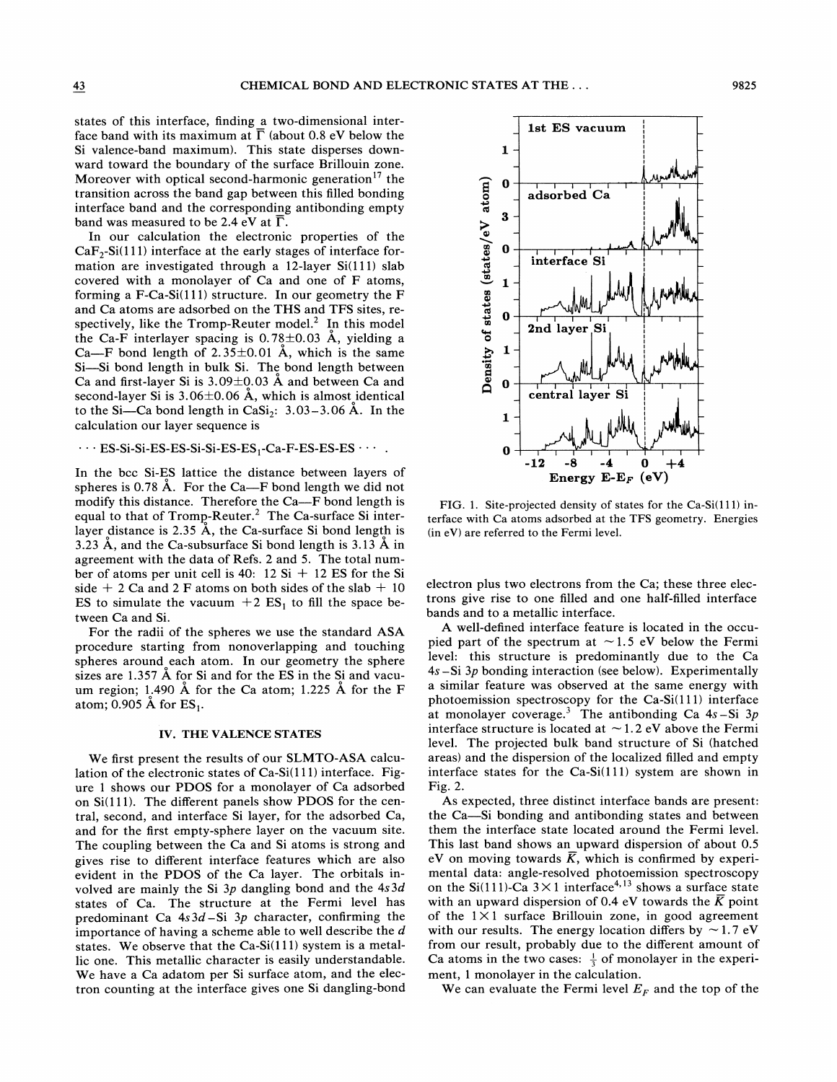states of this interface, finding a two-dimensional interface band with its maximum at  $\overline{\Gamma}$  (about 0.8 eV below the Si valence-band maximum). This state disperses downward toward the boundary of the surface Brillouin zone. Moreover with optical second-harmonic generation<sup>17</sup> the transition across the band gap between this filled bonding interface band and the corresponding antibonding empty band was measured to be 2.4 eV at  $\overline{\Gamma}$ .

In our calculation the electronic properties of the  $CaF<sub>2</sub>-Si(111)$  interface at the early stages of interface formation are investigated through a  $12$ -layer Si $(111)$  slab covered with a monolayer of Ca and one of F atoms, forming a F-Ca-Si(111) structure. In our geometry the  $F$ and Ca atoms are adsorbed on the THS and TFS sites, respectively, like the Tromp-Reuter model. $2$  In this model the Ca-F interlayer spacing is  $0.78 \pm 0.03$  Å, yielding a Ca—F bond length of 2.35 $\pm$ 0.01 Å, which is the same Si—Si bond length in bulk Si. The bond length between Ca and first-layer Si is  $3.09 \pm 0.03$  Å and between Ca and second-layer Si is  $3.06\pm0.06$  Å, which is almost identical to the Si—Ca bond length in CaSi<sub>2</sub>:  $3.03-3.06$  Å. In the calculation our layer sequence is

 $\cdots$  ES-Si-Si-ES-ES-Si-Si-ES-ES<sub>1</sub>-Ca-F-ES-ES-ES  $\cdots$ .

In the bcc Si-ES lattice the distance between layers of spheres is 0.78  $\AA$ . For the Ca—F bond length we did not modify this distance. Therefore the Ca—<sup>F</sup> bond length is equal to that of  $Trom_p$ -Reuter.<sup>2</sup> The Ca-surface Si interlayer distance is 2.35 A, the Ca-surface Si bond length is 3.23 A, and the Ca-subsurface Si bond length is 3.13 A in agreement with the data of Refs. 2 and 5. The total number of atoms per unit cell is 40:  $12 Si + 12 ES$  for the Si side  $+2$  Ca and 2 F atoms on both sides of the slab  $+10$ ES to simulate the vacuum  $+2$  ES<sub>1</sub> to fill the space between Ca and Si.

For the radii of the spheres we use the standard ASA procedure starting from nonoverlapping and touching spheres around each atom. In our geometry the sphere sizes are 1.357 Å for Si and for the ES in the Si and vacuum region; 1.490  $\AA$  for the Ca atom; 1.225  $\AA$  for the F atom; 0.905 Å for  $ES_1$ .

### IV. THE VALENCE STATES

We first present the results of our SLMTO-ASA calculation of the electronic states of  $Ca-Si(111)$  interface. Figure <sup>1</sup> shows our PDQS for a monolayer of Ca adsorbed on Si(111). The different panels show PDOS for the central, second, and interface Si layer, for the adsorbed Ca, and for the first empty-sphere layer on the vacuum site. The coupling between the Ca and Si atoms is strong and gives rise to different interface features which are also evident in the PDOS of the Ca layer. The orbitals involved are mainly the Si  $3p$  dangling bond and the  $4s3d$ states of Ca. The structure at the Fermi level has predominant Ca  $4s3d - Si$  3p character, confirming the importance of having a scheme able to well describe the d states. We observe that the Ca-Si(111) system is a metallic one. This metallic character is easily understandable. We have a Ca adatom per Si surface atom, and the electron counting at the interface gives one Si dangling-bond



FIG. 1. Site-projected density of states for the Ca-Si(111) interface with Ca atoms adsorbed at the TFS geometry. Energies (in eV) are referred to the Fermi level.

electron plus two electrons from the Ca; these three electrons give rise to one filled and one half-filled interface bands and to a metallic interface.

A well-defined interface feature is located in the occupied part of the spectrum at  $\sim$  1.5 eV below the Fermi level: this structure is predominantly due to the Ca 4s —Si 3p bonding interaction (see below). Experimentally a similar feature was observed at the same energy with photoemission spectroscopy for the Ca-Si(111) interface at monolayer coverage.<sup>3</sup> The antibonding Ca  $4s-Si$  3p interface structure is located at  $\sim$  1.2 eV above the Fermi level. The projected bulk band structure of Si (hatched areas) and the dispersion of the localized filled and empty interface states for the Ca-Si(111) system are shown in Fig. 2.

As expected, three distinct interface bands are present: the Ca—Si bonding and antibonding states and between them the interface state located around the Fermi level. This last band shows an upward dispersion of about 0.5 eV on moving towards  $\overline{K}$ , which is confirmed by experimental data: angle-resolved photoemission spectroscopy 'on the Si(111)-Ca  $3 \times 1$  interface<sup>4,13</sup> shows a surface state with an upward dispersion of 0.4 eV towards the  $\overline{K}$  point of the  $1 \times 1$  surface Brillouin zone, in good agreement with our results. The energy location differs by  $\sim$  1.7 eV from our result, probably due to the different amount of Ca atoms in the two cases:  $\frac{1}{3}$  of monolayer in the experiment, <sup>1</sup> monolayer in the calculation.

We can evaluate the Fermi level  $E_F$  and the top of the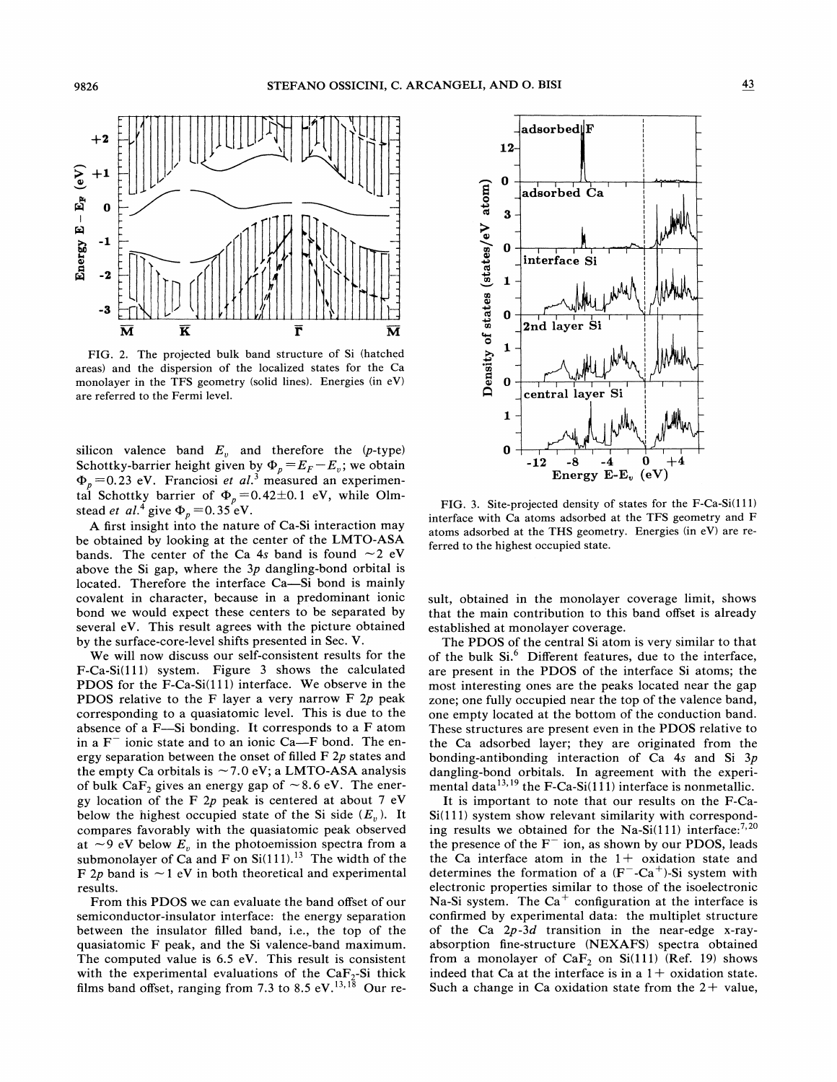

FIG. 2. The projected bulk band structure of Si {hatched areas) and the dispersion of the localized states for the Ca monolayer in the TFS geometry {solid lines). Energies {in eV) are referred to the Fermi level.

silicon valence band  $E_v$  and therefore the (p-type) Schottky-barrier height given by  $\Phi_p = E_F - E_v$ ; we obtain  $\Phi_p = 0.23$  eV. Franciosi et al.<sup>3</sup> measured an experimental Schottky barrier of  $\Phi_p = 0.42 \pm 0.1$  eV, while Olmstead *et al.*<sup>4</sup> give  $\Phi_p = 0.35$  eV.

A first insight into the nature of Ca-Si interaction may be obtained by looking at the center of the LMTO-ASA bands. The center of the Ca 4s band is found  $\sim$  2 eV above the Si gap, where the 3p dangling-bond orbital is located. Therefore the interface Ca—Si bond is mainly covalent in character, because in a predominant ionic bond we would expect these centers to be separated by several eV. This result agrees with the picture obtained by the surface-core-level shifts presented in Sec. V.

We will now discuss our self-consistent results for the F-Ca-Si(111) system. Figure 3 shows the calculated PDOS for the F-Ca-Si(111) interface. We observe in the PDOS relative to the F layer a very narrow F  $2p$  peak corresponding to a quasiatomic level. This is due to the absence of <sup>a</sup> <sup>F</sup>—Si bonding. It corresponds to <sup>a</sup> <sup>F</sup> atom in a  $F^-$  ionic state and to an ionic Ca—F bond. The energy separation between the onset of filled F 2p states and the empty Ca orbitals is  $\sim$  7.0 eV; a LMTO-ASA analysis of bulk CaF<sub>2</sub> gives an energy gap of  $\sim$  8.6 eV. The energy location of the F  $2p$  peak is centered at about 7 eV below the highest occupied state of the Si side  $(E_n)$ . It compares favorably with the quasiatomic peak observed at  $\sim$ 9 eV below  $E_v$  in the photoemission spectra from a submonolayer of  $Ca$  and F on Si(111).<sup>13</sup> The width of the F 2p band is  $\sim$  1 eV in both theoretical and experimental results.

From this PDOS we can evaluate the band offset of our semiconductor-insulator interface: the energy separation between the insulator filled band, i.e., the top of the quasiatomic F peak, and the Si valence-band maximum. The computed value is 6.5 eV. This result is consistent with the experimental evaluations of the  $CaF<sub>2</sub>-Si$  thick with the experimental evaluations of the  $CaF_2-Si$  thick<br>films band offset, ranging from 7.3 to 8.5 eV.<sup>13,18</sup> Our re-



FIG. 3. Site-projected density of states for the F-Ca-Si{111) interface with Ca atoms adsorbed at the TFS geometry and F atoms adsorbed at the THS geometry. Energies {in eV) are referred to the highest occupied state.

suit, obtained in the monolayer coverage limit, shows that the main contribution to this band offset is already established at monolayer coverage.

The PDOS of the central Si atom is very similar to that of the bulk Si.<sup>6</sup> Different features, due to the interface, are present in the PDOS of the interface Si atoms; the most interesting ones are the peaks located near the gap zone; one fully occupied near the top of the valence band, one empty located at the bottom of the conduction band. These structures are present even in the PDOS relative to the Ca adsorbed layer; they are originated from the bonding-antibonding interaction of Ca  $4s$  and Si  $3p$ dangling-bond orbitals. In agreement with the experi-'nental data $^{13,19}$  the F-Ca-Si(111) interface is nonmetallic

It is important to note that our results on the F-Ca- $Si(111)$  system show relevant similarity with corresponding results we obtained for the Na-Si(111) interface:<sup>7,20</sup> the presence of the  $F^-$  ion, as shown by our PDOS, leads the Ca interface atom in the  $1+$  oxidation state and determines the formation of a  $(F<sup>-</sup>-Ca<sup>+</sup>)$ -Si system with electronic properties similar to those of the isoelectronic Na-Si system. The  $Ca^+$  configuration at the interface is confirmed by experimental data: the multiplet structure of the Ca  $2p-3d$  transition in the near-edge x-rayabsorption fine-structure (NEXAFS) spectra obtained from a monolayer of  $CaF<sub>2</sub>$  on Si(111) (Ref. 19) shows indeed that Ca at the interface is in a  $1+$  oxidation state. Such a change in Ca oxidation state from the  $2+$  value,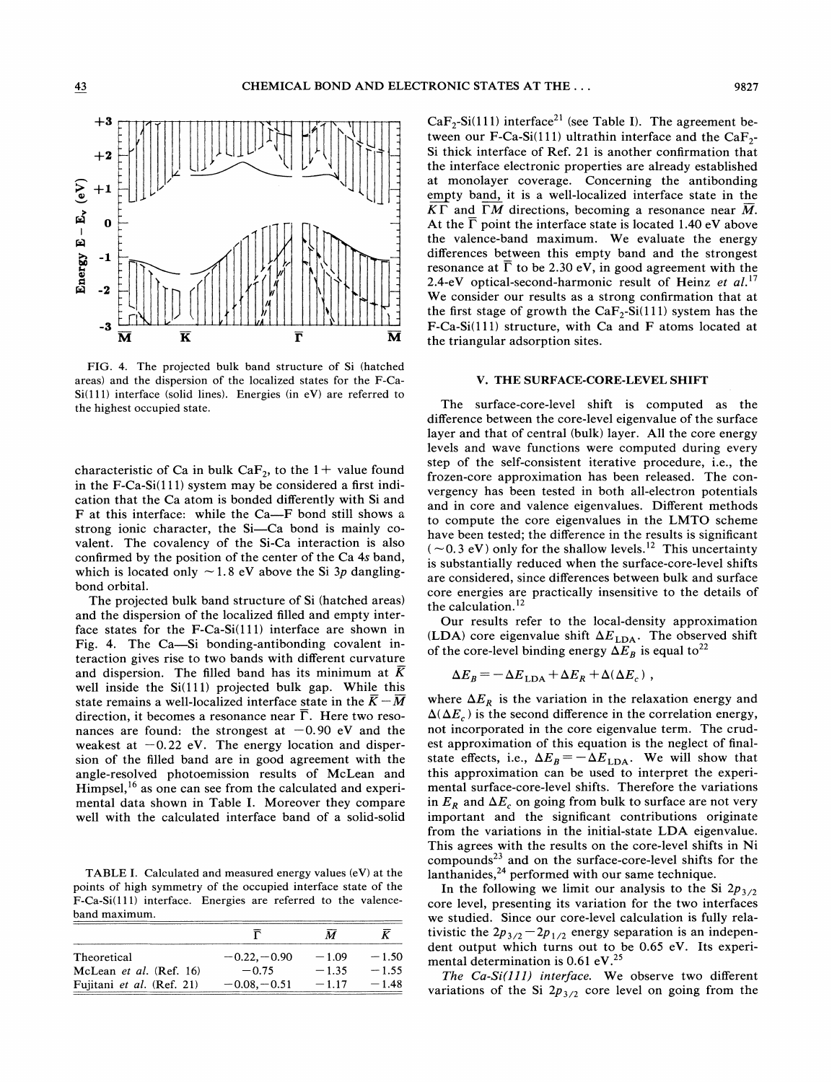

FIG. 4. The projected bulk band structure of Si (hatched areas) and the dispersion of the localized states for the F-Ca- $Si(111)$  interface (solid lines). Energies (in eV) are referred to the highest occupied state.

characteristic of Ca in bulk  $CaF_2$ , to the 1+ value found in the F-Ca-Si(111) system may be considered a first indication that the Ca atom is bonded differently with Si and <sup>F</sup> at this interface: while the Ca—<sup>F</sup> bond still shows <sup>a</sup> strong ionic character, the Si—Ca bond is mainly covalent. The covalency of the Si-Ca interaction is also confirmed by the position of the center of the Ca 4s band, which is located only  $\sim$  1.8 eV above the Si 3p danglingbond orbital.

The projected bulk band structure of Si (hatched areas) and the dispersion of the localized filled and empty interface states for the F-Ca-Si(111) interface are shown in Fig. 4. The Ca—Si bonding-antibonding covalent interaction gives rise to two bands with different curvature and dispersion. The filled band has its minimum at  $\overline{K}$ well inside the Si(111) projected bulk gap. While this state remains a well-localized interface state in the  $\overline{K}-\overline{M}$ direction, it becomes a resonance near  $\overline{\Gamma}$ . Here two resonances are found: the strongest at  $-0.90$  eV and the weakest at  $-0.22$  eV. The energy location and dispersion of the filled band are in good agreement with the angle-resolved photoemission results of McLean and Himpsel,<sup>16</sup> as one can see from the calculated and experimental data shown in Table I. Moreover they compare well with the calculated interface band of a solid-solid

TABLE I. Calculated and measured energy values (eV) at the points of high symmetry of the occupied interface state of the F-Ca-Si(111) interface. Energies are referred to the valenceband maximum.

|                           |                | М       |         |
|---------------------------|----------------|---------|---------|
| Theoretical               | $-0.22, -0.90$ | $-1.09$ | $-1.50$ |
| McLean et al. (Ref. 16)   | $-0.75$        | $-1.35$ | $-1.55$ |
| Fujitani et al. (Ref. 21) | $-0.08 - 0.51$ | $-1.17$ | $-1.48$ |

 $CaF<sub>2</sub>$ -Si(111) interface<sup>21</sup> (see Table I). The agreement between our F-Ca-Si(111) ultrathin interface and the CaF<sub>2</sub>-Si thick interface of Ref. 21 is another confirmation that the interface electronic properties are already established at monolayer coverage. Concerning the antibonding empty band, it is a well-localized interface state in the  $\overline{K\Gamma}$  and  $\overline{\Gamma}M$  directions, becoming a resonance near  $\overline{M}$ . At the  $\overline{\Gamma}$  point the interface state is located 1.40 eV above the valence-band maximum. We evaluate the energy differences between this empty band and the strongest resonance at  $\overline{\Gamma}$  to be 2.30 eV, in good agreement with the 2.4-eV optical-second-harmonic result of Heinz et  $al$ .<sup>17</sup> We consider our results as a strong confirmation that at the first stage of growth the  $CaF_2-Si(111)$  system has the F-Ca-Si(111) structure, with Ca and F atoms located at the triangular adsorption sites.

### V. THE SURFACE-CORE-LEVEL SHIFT

The surface-core-level shift is computed as the difference between the core-level eigenvalue of the surface layer and that of central (bulk) layer. All the core energy levels and wave functions were computed during every step of the self-consistent iterative procedure, i.e., the frozen-core approximation has been released. The convergency has been tested in both all-electron potentials and in core and valence eigenvalues. Different methods to compute the core eigenvalues in the LMTO scheme have been tested; the difference in the results is significant  $(-0.3 \text{ eV})$  only for the shallow levels.<sup>12</sup> This uncertainty is substantially reduced when the surface-core-level shifts are considered, since differences between bulk and surface core energies are practically insensitive to the details of the calculation.<sup>12</sup>

Our results refer to the local-density approximation (LDA) core eigenvalue shift  $\Delta E_{\rm LDA}$ . The observed shift of the core-level binding energy  $\Delta E_{B}$  is equal to<sup>22</sup>

$$
\Delta E_B = -\Delta E_{LDA} + \Delta E_R + \Delta(\Delta E_c) ,
$$

where  $\Delta E_R$  is the variation in the relaxation energy and  $\Delta(\Delta E_c)$  is the second difference in the correlation energy, not incorporated in the core eigenvalue term. The crudest approximation of this equation is the neglect of final-<br>tate effects, i.e.,  $\Delta E_B = -\Delta E_{LDA}$ . We will show that this approximation can be used to interpret the experimental surface-core-level shifts. Therefore the variations in  $E_R$  and  $\Delta E_c$  on going from bulk to surface are not very important and the significant contributions originate from the variations in the initial-state LDA eigenvalue. This agrees with the results on the core-level shifts in Ni compounds<sup>23</sup> and on the surface-core-level shifts for the lanthanides, $24$  performed with our same technique.

In the following we limit our analysis to the Si  $2p_{3/2}$ core level, presenting its variation for the two interfaces we studied. Since our core-level calculation is fully relativistic the  $2p_{3/2} - 2p_{1/2}$  energy separation is an independent output which turns out to be 0.65 eV. Its experimental determination is 0.61 eV.<sup>25</sup>

The Ca-Si(111) interface. We observe two different variations of the Si  $2p_{3/2}$  core level on going from the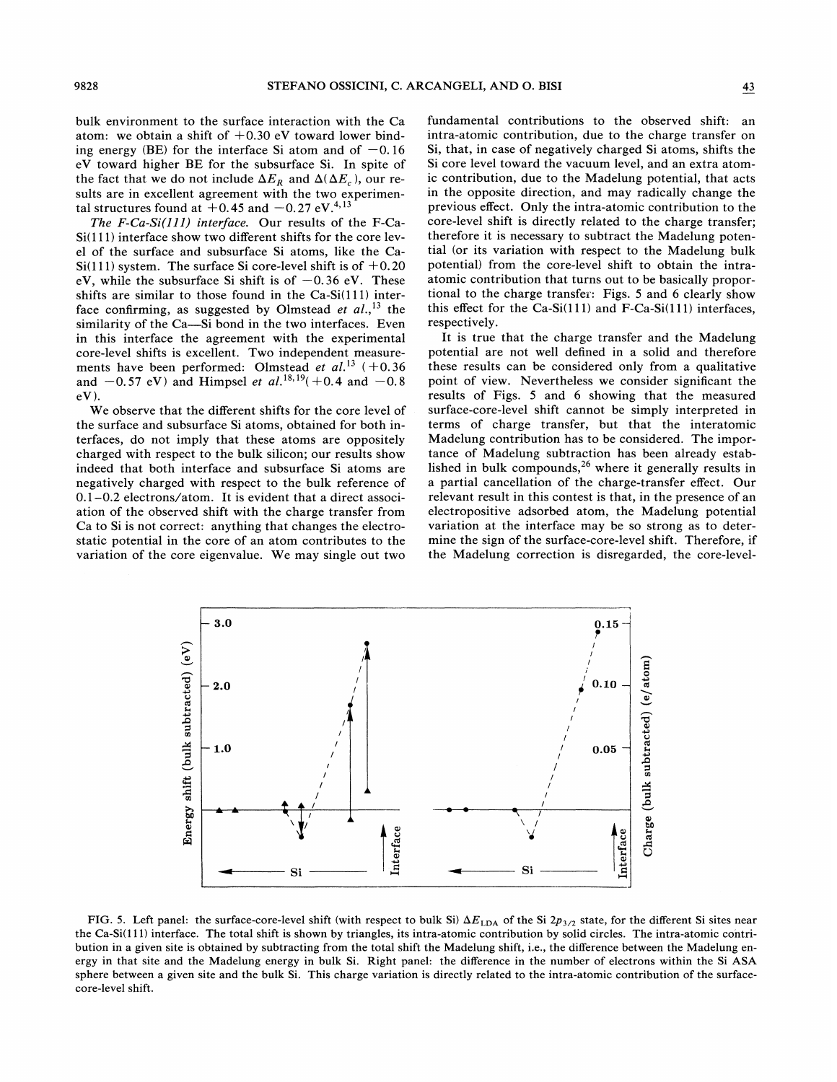bulk environment to the surface interaction with the Ca atom: we obtain a shift of  $+0.30$  eV toward lower binding energy (BE) for the interface Si atom and of  $-0.16$ eV toward higher BE for the subsurface Si. In spite of the fact that we do not include  $\Delta E_R$  and  $\Delta(\Delta E_c)$ , our results are in excellent agreement with the two experimen suits are in excellent agreement with the two established structures found at  $+0.45$  and  $-0.27$  eV.<sup>4, 12</sup>

The F-Ca-Si(111) interface. Our results of the F-Ca- $Si(111)$  interface show two different shifts for the core level of the surface and subsurface Si atoms, like the Ca-Si(111) system. The surface Si core-level shift is of  $+0.20$ eV, while the subsurface Si shift is of  $-0.36$  eV. These shifts are similar to those found in the  $Ca-Si(111)$  interface confirming, as suggested by Olmstead et  $al$ ,  $13$  the similarity of the Ca—Si bond in the two interfaces. Even in this interface the agreement with the experimental core-level shifts is excellent. Two independent measurements have been performed: Olmstead *et al.*<sup>13</sup> (+0.36 and  $-0.57$  eV) and Himpsel *et al.*<sup>18,19</sup>(+0.4 and  $-0.8$ and  $-0.57$  eV) and Himpsel *et al.*<sup>18,19</sup>(+0.4 and  $-0.8$ eV).

We observe that the different shifts for the core level of the surface and subsurface Si atoms, obtained for both interfaces, do not imply that these atoms are oppositely charged with respect to the bulk silicon; our results show indeed that both interface and subsurface Si atoms are negatively charged with respect to the bulk reference of 0.1—0.2 electrons/atom. It is evident that a direct association of the observed shift with the charge transfer from Ca to Si is not correct: anything that changes the electrostatic potential in the core of an atom contributes to the variation of the core eigenvalue. We may single out two fundamental contributions to the observed shift: an intra-atomic contribution, due to the charge transfer on Si, that, in case of negatively charged Si atoms, shifts the Si core level toward the vacuum level, and an extra atomic contribution, due to the Madelung potential, that acts in the opposite direction, and may radically change the previous efFect. Only the intra-atomic contribution to the core-level shift is directly related to the charge transfer; therefore it is necessary to subtract the Madelung potential (or its variation with respect to the Madelung bulk potential) from the core-level shift to obtain the intraatomic contribution that turns out to be basically proportional to the charge transfer: Figs. 5 and 6 clearly show this effect for the Ca-Si(111) and F-Ca-Si(111) interfaces, respectively.

It is true that the charge transfer and the Madelung potential are not well defined in a solid and therefore these results can be considered only from a qualitative point of view. Nevertheless we consider significant the results of Figs. 5 and 6 showing that the measured surface-core-level shift cannot be simply interpreted in terms of charge transfer, but that the interatomic Madelung contribution has to be considered. The importance of Madelung subtraction has been already established in bulk compounds,  $26$  where it generally results in a partial cancellation of the charge-transfer effect. Our relevant result in this contest is that, in the presence of an electropositive adsorbed atom, the Madelung potential variation at the interface may be so strong as to determine the sign of the surface-core-level shift. Therefore, if the Madelung correction is disregarded, the core-level-



FIG. 5. Left panel: the surface-core-level shift (with respect to bulk Si)  $\Delta E_{LDA}$  of the Si  $2p_{3/2}$  state, for the different Si sites near the Ca-Si(111) interface. The total shift is shown by triangles, its intra-atomic contribution by solid circles. The intra-atomic contribution in a given site is obtained by subtracting from the total shift the Madelung shift, i.e., the difference between the Madelung energy in that site and the Madelung energy in bulk Si. Right panel: the difference in the number of electrons within the Si ASA sphere between a given site and the bulk Si. This charge variation is directly related to the intra-atomic contribution of the surfacecore-level shift.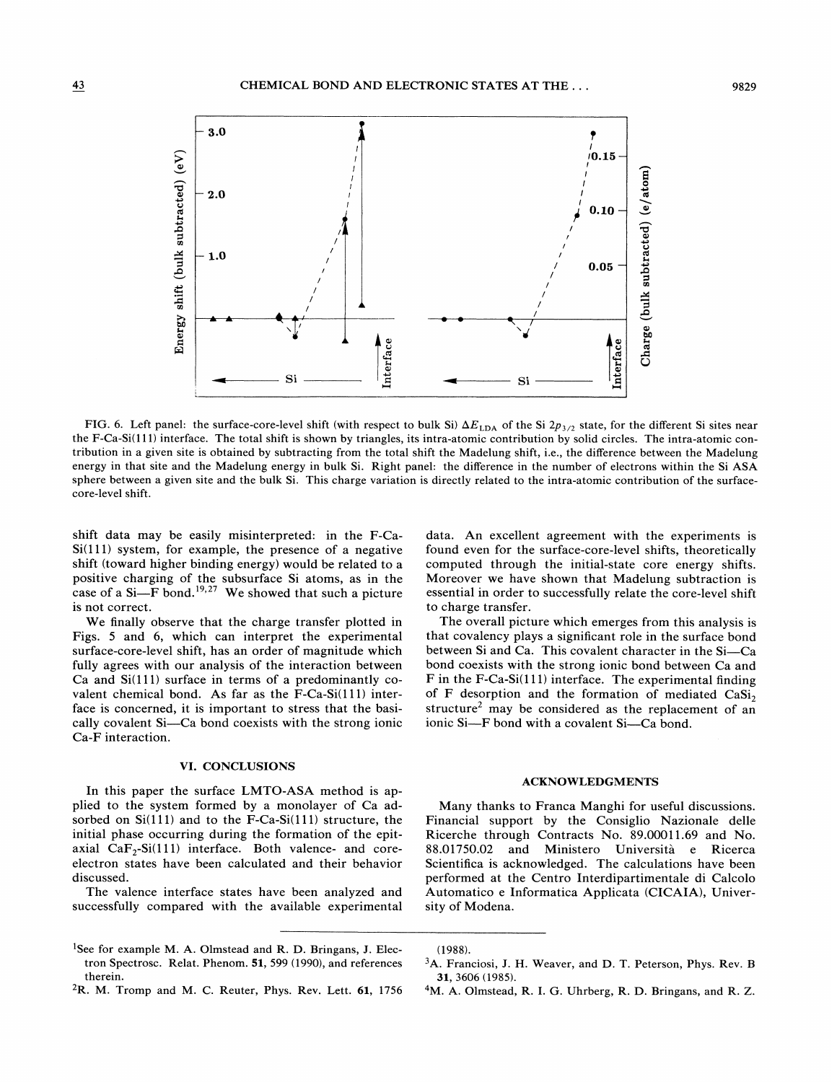

FIG. 6. Left panel: the surface-core-level shift (with respect to bulk Si)  $\Delta E_{LDA}$  of the Si  $2p_{3/2}$  state, for the different Si sites near the F-Ca-Si(111) interface. The total shift is shown by triangles, its intra-atomic contribution by solid circles. The intra-atomic contribution in a given site is obtained by subtracting from the total shift the Madelung shift, i.e., the difference between the Madelung energy in that site and the Madelung energy in bulk Si. Right panel: the difference in the number of electrons within the Si ASA sphere between a given site and the bulk Si. This charge variation is directly related to the intra-atomic contribution of the surfacecore-level shift.

shift data may be easily misinterpreted: in the F-Ca-Si(111) system, for example, the presence of a negative shift (toward higher binding energy) would be related to a positive charging of the subsurface Si atoms, as in the case of a Si—F bond.<sup>19,27</sup> We showed that such a picture is not correct.

We finally observe that the charge transfer plotted in Figs. 5 and 6, which can interpret the experimental surface-core-level shift, has an order of magnitude which fully agrees with our analysis of the interaction between Ca and Si(111) surface in terms of a predominantly covalent chemical bond. As far as the F-Ca-Si(111) interface is concerned, it is important to stress that the basically covalent Si—Ca bond coexists with the strong ionic Ca-F interaction.

# VI. CONCLUSIONS

In this paper the surface LMTO-ASA method is applied to the system formed by a monolayer of Ca adsorbed on  $Si(111)$  and to the F-Ca-Si(111) structure, the initial phase occurring during the formation of the epitaxial  $CaF<sub>2</sub>-Si(111)$  interface. Both valence- and coreelectron states have been calculated and their behavior discussed.

The valence interface states have been analyzed and successfully compared with the available experimental

 $2R$ . M. Tromp and M. C. Reuter, Phys. Rev. Lett. 61, 1756

data. An excellent agreement with the experiments is found even for the surface-core-level shifts, theoretically computed through the initial-state core energy shifts. Moreover we have shown that Madelung subtraction is essential in order to successfully relate the core-level shift to charge transfer.

The overall picture which emerges from this analysis is that covalency plays a significant role in the surface bond between Si and Ca. This covalent character in the Si—Ca bond coexists with the strong ionic bond between Ca and  $F$  in the F-Ca-Si(111) interface. The experimental finding of F desorption and the formation of mediated CaSi<sub>2</sub> structure<sup>2</sup> may be considered as the replacement of an ionic Si—<sup>F</sup> bond with <sup>a</sup> covalent Si—Ca bond.

## ACKNOWLEDGMENTS

Many thanks to Franca Manghi for useful discussions. Financial support by the Consiglio Nazionale delle Ricerche through Contracts No. 89.00011.69 and No. 88.01750.02 and Ministero Università e Ricerca Scientifica is acknowledged. The calculations have been performed at the Centro Interdipartimentale di Calcolo Automatico e Informatica Applicata (CICAIA), University of Modena.

(1988).

<sup>4</sup>M. A. Olmstead, R. I. G. Uhrberg, R. D. Bringans, and R. Z.

<sup>&</sup>lt;sup>1</sup>See for example M. A. Olmstead and R. D. Bringans, J. Electron Spectrosc. Relat. Phenom. 51, 599 (1990), and references therein.

<sup>&</sup>lt;sup>3</sup>A. Franciosi, J. H. Weaver, and D. T. Peterson, Phys. Rev. B 31, 3606 (1985).